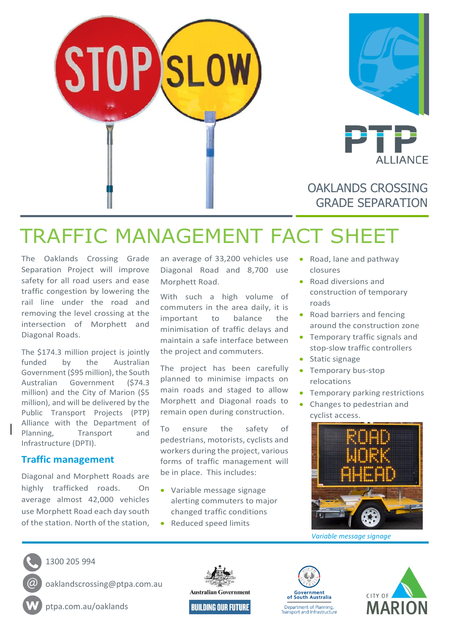



OAKLANDS CROSSING GRADE SEPARATION

# TRAFFIC MANAGEMENT FACT SHEET

The Oaklands Crossing Grade Separation Project will improve safety for all road users and ease traffic congestion by lowering the rail line under the road and removing the level crossing at the intersection of Morphett and Diagonal Roads.

The \$174.3 million project is jointly funded by the Australian Government (\$95 million), the South Australian Government (\$74.3 million) and the City of Marion (\$5 million), and will be delivered by the Public Transport Projects (PTP) Alliance with the Department of Planning, Transport and Infrastructure (DPTI).

#### **Traffic management**

Diagonal and Morphett Roads are highly trafficked roads. On average almost 42,000 vehicles use Morphett Road each day south of the station. North of the station,

an average of 33,200 vehicles use Diagonal Road and 8,700 use Morphett Road.

With such a high volume of commuters in the area daily, it is important to balance the minimisation of traffic delays and maintain a safe interface between the project and commuters.

The project has been carefully planned to minimise impacts on main roads and staged to allow Morphett and Diagonal roads to remain open during construction.

To ensure the safety of pedestrians, motorists, cyclists and workers during the project, various forms of traffic management will be in place. This includes:

- Variable message signage alerting commuters to major changed traffic conditions
- Reduced speed limits
- Road, lane and pathway closures
- Road diversions and construction of temporary roads
- Road barriers and fencing around the construction zone
- Temporary traffic signals and stop-slow traffic controllers
- Static signage
- Temporary bus-stop relocations
- Temporary parking restrictions
- Changes to pedestrian and cyclist access.



*Variable message signage*



1300 205 994

oaklandscrossing@ptpa.com.au

ptpa.com.au/oaklands



**Government**<br>of South Australia Department of Planning,<br>Transport and Infrastructure